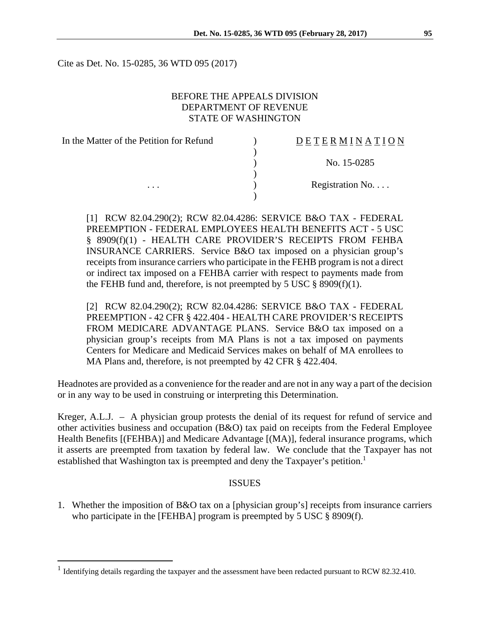Cite as Det. No. 15-0285, 36 WTD 095 (2017)

### BEFORE THE APPEALS DIVISION DEPARTMENT OF REVENUE STATE OF WASHINGTON

| In the Matter of the Petition for Refund | DETERMI     |
|------------------------------------------|-------------|
|                                          |             |
|                                          | No. 15      |
|                                          |             |
|                                          | Registratio |
|                                          |             |

# D E T E R M I N A T I O N

) No. 15-0285

Registration No. . . .

[1] RCW 82.04.290(2); RCW 82.04.4286: SERVICE B&O TAX - FEDERAL PREEMPTION - FEDERAL EMPLOYEES HEALTH BENEFITS ACT - 5 USC § 8909(f)(1) - HEALTH CARE PROVIDER'S RECEIPTS FROM FEHBA INSURANCE CARRIERS. Service B&O tax imposed on a physician group's receipts from insurance carriers who participate in the FEHB program is not a direct or indirect tax imposed on a FEHBA carrier with respect to payments made from the FEHB fund and, therefore, is not preempted by 5 USC  $\S$  8909(f)(1).

[2] RCW 82.04.290(2); RCW 82.04.4286: SERVICE B&O TAX - FEDERAL PREEMPTION - 42 CFR § 422.404 - HEALTH CARE PROVIDER'S RECEIPTS FROM MEDICARE ADVANTAGE PLANS. Service B&O tax imposed on a physician group's receipts from MA Plans is not a tax imposed on payments Centers for Medicare and Medicaid Services makes on behalf of MA enrollees to MA Plans and, therefore, is not preempted by 42 CFR § 422.404.

Headnotes are provided as a convenience for the reader and are not in any way a part of the decision or in any way to be used in construing or interpreting this Determination.

Kreger, A.L.J. – A physician group protests the denial of its request for refund of service and other activities business and occupation (B&O) tax paid on receipts from the Federal Employee Health Benefits [(FEHBA)] and Medicare Advantage [(MA)], federal insurance programs, which it asserts are preempted from taxation by federal law. We conclude that the Taxpayer has not established that Washington tax is preempted and deny the Taxpayer's petition.<sup>1</sup>

#### **ISSUES**

1. Whether the imposition of B&O tax on a [physician group's] receipts from insurance carriers who participate in the [FEHBA] program is preempted by 5 USC § 8909(f).

 $\overline{a}$ 

<sup>&</sup>lt;sup>1</sup> Identifying details regarding the taxpayer and the assessment have been redacted pursuant to RCW 82.32.410.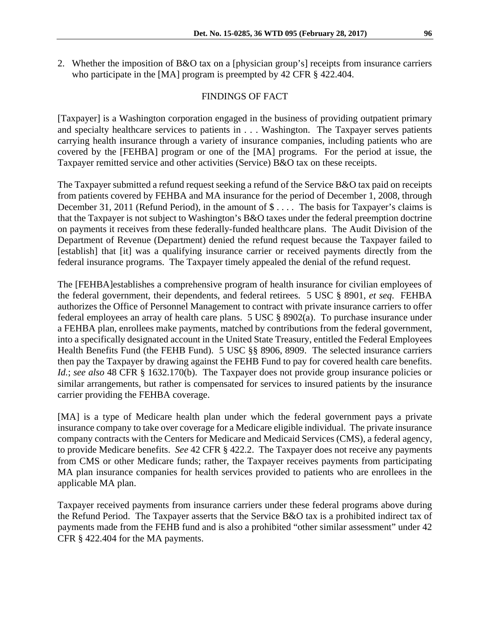2. Whether the imposition of B&O tax on a [physician group's] receipts from insurance carriers who participate in the [MA] program is preempted by 42 CFR § 422.404.

#### FINDINGS OF FACT

[Taxpayer] is a Washington corporation engaged in the business of providing outpatient primary and specialty healthcare services to patients in . . . Washington. The Taxpayer serves patients carrying health insurance through a variety of insurance companies, including patients who are covered by the [FEHBA] program or one of the [MA] programs. For the period at issue, the Taxpayer remitted service and other activities (Service) B&O tax on these receipts.

The Taxpayer submitted a refund request seeking a refund of the Service B&O tax paid on receipts from patients covered by FEHBA and MA insurance for the period of December 1, 2008, through December 31, 2011 (Refund Period), in the amount of  $\$\ldots$ . The basis for Taxpayer's claims is that the Taxpayer is not subject to Washington's B&O taxes under the federal preemption doctrine on payments it receives from these federally-funded healthcare plans. The Audit Division of the Department of Revenue (Department) denied the refund request because the Taxpayer failed to [establish] that [it] was a qualifying insurance carrier or received payments directly from the federal insurance programs. The Taxpayer timely appealed the denial of the refund request.

The [FEHBA]establishes a comprehensive program of health insurance for civilian employees of the federal government, their dependents, and federal retirees. 5 USC § 8901, *et seq*. FEHBA authorizes the Office of Personnel Management to contract with private insurance carriers to offer federal employees an array of health care plans. 5 USC § 8902(a). To purchase insurance under a FEHBA plan, enrollees make payments, matched by contributions from the federal government, into a specifically designated account in the United State Treasury, entitled the Federal Employees Health Benefits Fund (the FEHB Fund). 5 USC §§ 8906, 8909. The selected insurance carriers then pay the Taxpayer by drawing against the FEHB Fund to pay for covered health care benefits. *Id.*; *see also* 48 CFR § 1632.170(b). The Taxpayer does not provide group insurance policies or similar arrangements, but rather is compensated for services to insured patients by the insurance carrier providing the FEHBA coverage.

[MA] is a type of Medicare health plan under which the federal government pays a private insurance company to take over coverage for a Medicare eligible individual. The private insurance company contracts with the Centers for Medicare and Medicaid Services (CMS), a federal agency, to provide Medicare benefits. *See* 42 CFR § 422.2. The Taxpayer does not receive any payments from CMS or other Medicare funds; rather, the Taxpayer receives payments from participating MA plan insurance companies for health services provided to patients who are enrollees in the applicable MA plan.

Taxpayer received payments from insurance carriers under these federal programs above during the Refund Period. The Taxpayer asserts that the Service B&O tax is a prohibited indirect tax of payments made from the FEHB fund and is also a prohibited "other similar assessment" under 42 CFR § 422.404 for the MA payments.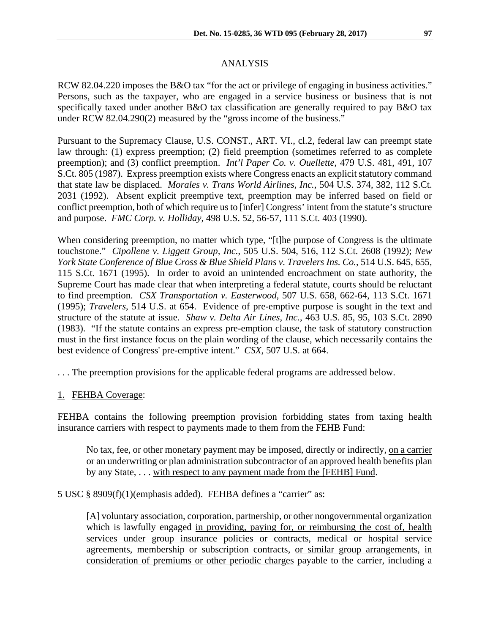### ANALYSIS

RCW 82.04.220 imposes the B&O tax "for the act or privilege of engaging in business activities." Persons, such as the taxpayer, who are engaged in a service business or business that is not specifically taxed under another B&O tax classification are generally required to pay B&O tax under RCW 82.04.290(2) measured by the "gross income of the business."

Pursuant to the Supremacy Clause, U.S. CONST., ART. VI., cl.2, federal law can preempt state law through: (1) express preemption; (2) field preemption (sometimes referred to as complete preemption); and (3) conflict preemption. *Int'l Paper Co. v. Ouellette*, 479 U.S. 481, 491, 107 S.Ct. 805 (1987). Express preemption exists where Congress enacts an explicit statutory command that state law be displaced. *Morales v. Trans World Airlines, Inc.*, 504 U.S. 374, 382, 112 S.Ct. 2031 (1992). Absent explicit preemptive text, preemption may be inferred based on field or conflict preemption, both of which require us to [infer] Congress' intent from the statute's structure and purpose. *FMC Corp. v. Holliday*, 498 U.S. 52, 56-57, 111 S.Ct. 403 (1990).

When considering preemption, no matter which type, "[t]he purpose of Congress is the ultimate touchstone." *Cipollene v. Liggett Group, Inc.*, 505 U.S. 504, 516, 112 S.Ct. 2608 (1992); *New York State Conference of Blue Cross & Blue Shield Plans v. Travelers Ins. Co.*, 514 U.S. 645, 655, 115 S.Ct. 1671 (1995). In order to avoid an unintended encroachment on state authority, the Supreme Court has made clear that when interpreting a federal statute, courts should be reluctant to find preemption. *CSX Transportation v. Easterwood*, 507 U.S. 658, 662-64, 113 S.Ct. 1671 (1995); *Travelers*, 514 U.S. at 654. Evidence of pre-emptive purpose is sought in the text and structure of the statute at issue. *Shaw v. Delta Air Lines, Inc.*, 463 U.S. 85, 95, 103 S.Ct. 2890 (1983). "If the statute contains an express pre-emption clause, the task of statutory construction must in the first instance focus on the plain wording of the clause, which necessarily contains the best evidence of Congress' pre-emptive intent." *CSX*, 507 U.S. at 664.

. . . The preemption provisions for the applicable federal programs are addressed below.

## 1. FEHBA Coverage:

FEHBA contains the following preemption provision forbidding states from taxing health insurance carriers with respect to payments made to them from the FEHB Fund:

No tax, fee, or other monetary payment may be imposed, directly or indirectly, on a carrier or an underwriting or plan administration subcontractor of an approved health benefits plan by any State, . . . with respect to any payment made from the [FEHB] Fund.

5 USC § 8909(f)(1)(emphasis added). FEHBA defines a "carrier" as:

[A] voluntary association, corporation, partnership, or other nongovernmental organization which is lawfully engaged in providing, paying for, or reimbursing the cost of, health services under group insurance policies or contracts, medical or hospital service agreements, membership or subscription contracts, or similar group arrangements, in consideration of premiums or other periodic charges payable to the carrier, including a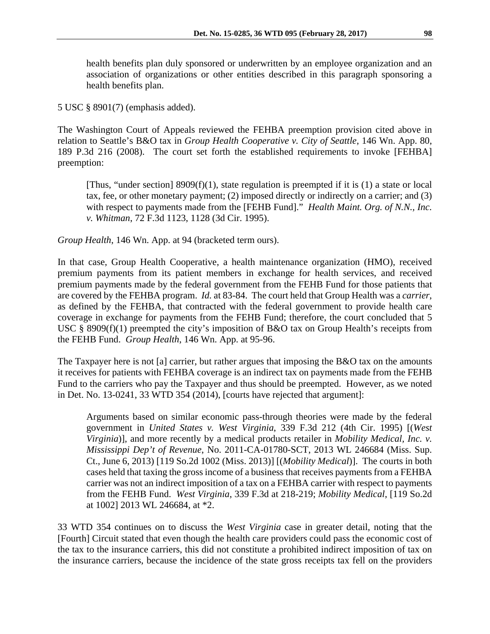health benefits plan duly sponsored or underwritten by an employee organization and an association of organizations or other entities described in this paragraph sponsoring a health benefits plan.

5 USC § 8901(7) (emphasis added).

The Washington Court of Appeals reviewed the FEHBA preemption provision cited above in relation to Seattle's B&O tax in *Group Health Cooperative v. City of Seattle*, 146 Wn. App. 80, 189 P.3d 216 (2008). The court set forth the established requirements to invoke [FEHBA] preemption:

[Thus, "under section] 8909(f)(1), state regulation is preempted if it is (1) a state or local tax, fee, or other monetary payment; (2) imposed directly or indirectly on a carrier; and (3) with respect to payments made from the [FEHB Fund]." *Health Maint. Org. of N.N., Inc. v. Whitman*, 72 F.3d 1123, 1128 (3d Cir. 1995).

*Group Health*, 146 Wn. App. at 94 (bracketed term ours).

In that case, Group Health Cooperative, a health maintenance organization (HMO), received premium payments from its patient members in exchange for health services, and received premium payments made by the federal government from the FEHB Fund for those patients that are covered by the FEHBA program. *Id.* at 83-84. The court held that Group Health was a *carrier*, as defined by the FEHBA, that contracted with the federal government to provide health care coverage in exchange for payments from the FEHB Fund; therefore, the court concluded that 5 USC § 8909(f)(1) preempted the city's imposition of B&O tax on Group Health's receipts from the FEHB Fund. *Group Health*, 146 Wn. App. at 95-96.

The Taxpayer here is not [a] carrier, but rather argues that imposing the B&O tax on the amounts it receives for patients with FEHBA coverage is an indirect tax on payments made from the FEHB Fund to the carriers who pay the Taxpayer and thus should be preempted. However, as we noted in Det. No. 13-0241, 33 WTD 354 (2014), [courts have rejected that argument]:

Arguments based on similar economic pass-through theories were made by the federal government in *United States v. West Virginia*, 339 F.3d 212 (4th Cir. 1995) [(*West Virginia*)], and more recently by a medical products retailer in *Mobility Medical, Inc. v. Mississippi Dep't of Revenue*, No. 2011-CA-01780-SCT, 2013 WL 246684 (Miss. Sup. Ct., June 6, 2013) [119 So.2d 1002 (Miss. 2013)] [(*Mobility Medical*)]. The courts in both cases held that taxing the gross income of a business that receives payments from a FEHBA carrier was not an indirect imposition of a tax on a FEHBA carrier with respect to payments from the FEHB Fund. *West Virginia*, 339 F.3d at 218-219; *Mobility Medical*, [119 So.2d at 1002] 2013 WL 246684, at \*2.

33 WTD 354 continues on to discuss the *West Virginia* case in greater detail, noting that the [Fourth] Circuit stated that even though the health care providers could pass the economic cost of the tax to the insurance carriers, this did not constitute a prohibited indirect imposition of tax on the insurance carriers, because the incidence of the state gross receipts tax fell on the providers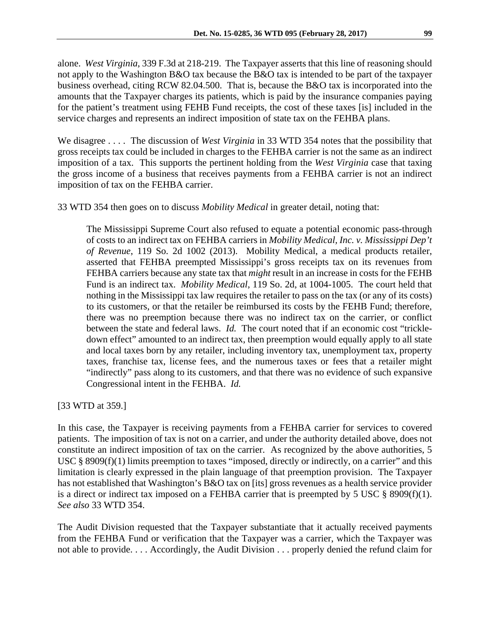alone. *West Virginia*, 339 F.3d at 218-219. The Taxpayer asserts that this line of reasoning should not apply to the Washington B&O tax because the B&O tax is intended to be part of the taxpayer business overhead, citing RCW 82.04.500. That is, because the B&O tax is incorporated into the amounts that the Taxpayer charges its patients, which is paid by the insurance companies paying for the patient's treatment using FEHB Fund receipts, the cost of these taxes [is] included in the service charges and represents an indirect imposition of state tax on the FEHBA plans.

We disagree . . . . The discussion of *West Virginia* in 33 WTD 354 notes that the possibility that gross receipts tax could be included in charges to the FEHBA carrier is not the same as an indirect imposition of a tax. This supports the pertinent holding from the *West Virginia* case that taxing the gross income of a business that receives payments from a FEHBA carrier is not an indirect imposition of tax on the FEHBA carrier.

33 WTD 354 then goes on to discuss *Mobility Medical* in greater detail, noting that:

The Mississippi Supreme Court also refused to equate a potential economic pass-through of costs to an indirect tax on FEHBA carriers in *Mobility Medical, Inc. v. Mississippi Dep't of Revenue*, 119 So. 2d 1002 (2013). Mobility Medical, a medical products retailer, asserted that FEHBA preempted Mississippi's gross receipts tax on its revenues from FEHBA carriers because any state tax that *might* result in an increase in costs for the FEHB Fund is an indirect tax. *Mobility Medical*, 119 So. 2d, at 1004-1005. The court held that nothing in the Mississippi tax law requires the retailer to pass on the tax (or any of its costs) to its customers, or that the retailer be reimbursed its costs by the FEHB Fund; therefore, there was no preemption because there was no indirect tax on the carrier, or conflict between the state and federal laws. *Id.* The court noted that if an economic cost "trickledown effect" amounted to an indirect tax, then preemption would equally apply to all state and local taxes born by any retailer, including inventory tax, unemployment tax, property taxes, franchise tax, license fees, and the numerous taxes or fees that a retailer might "indirectly" pass along to its customers, and that there was no evidence of such expansive Congressional intent in the FEHBA. *Id.* 

[33 WTD at 359.]

In this case, the Taxpayer is receiving payments from a FEHBA carrier for services to covered patients. The imposition of tax is not on a carrier, and under the authority detailed above, does not constitute an indirect imposition of tax on the carrier. As recognized by the above authorities, 5 USC § 8909(f)(1) limits preemption to taxes "imposed, directly or indirectly, on a carrier" and this limitation is clearly expressed in the plain language of that preemption provision. The Taxpayer has not established that Washington's B&O tax on [its] gross revenues as a health service provider is a direct or indirect tax imposed on a FEHBA carrier that is preempted by 5 USC § 8909(f)(1). *See also* 33 WTD 354.

The Audit Division requested that the Taxpayer substantiate that it actually received payments from the FEHBA Fund or verification that the Taxpayer was a carrier, which the Taxpayer was not able to provide. . . . Accordingly, the Audit Division . . . properly denied the refund claim for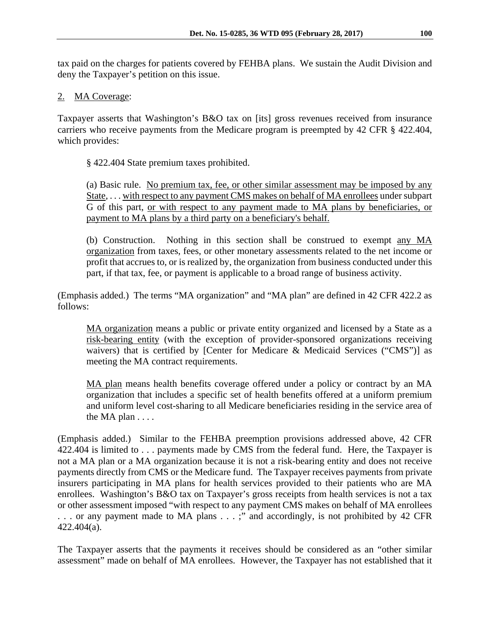tax paid on the charges for patients covered by FEHBA plans. We sustain the Audit Division and deny the Taxpayer's petition on this issue.

# 2. MA Coverage:

Taxpayer asserts that Washington's B&O tax on [its] gross revenues received from insurance carriers who receive payments from the Medicare program is preempted by 42 CFR § 422.404, which provides:

§ 422.404 State premium taxes prohibited.

(a) Basic rule. No premium tax, fee, or other similar assessment may be imposed by any State, . . . with respect to any payment CMS makes on behalf of MA enrollees under subpart G of this part, or with respect to any payment made to MA plans by beneficiaries, or payment to MA plans by a third party on a beneficiary's behalf.

(b) Construction. Nothing in this section shall be construed to exempt any MA organization from taxes, fees, or other monetary assessments related to the net income or profit that accrues to, or is realized by, the organization from business conducted under this part, if that tax, fee, or payment is applicable to a broad range of business activity.

(Emphasis added.) The terms "MA organization" and "MA plan" are defined in 42 CFR 422.2 as follows:

MA organization means a public or private entity organized and licensed by a State as a risk-bearing entity (with the exception of provider-sponsored organizations receiving waivers) that is certified by [Center for Medicare & Medicaid Services ("CMS")] as meeting the MA contract requirements.

MA plan means health benefits coverage offered under a policy or contract by an MA organization that includes a specific set of health benefits offered at a uniform premium and uniform level cost-sharing to all Medicare beneficiaries residing in the service area of the MA plan . . . .

(Emphasis added.) Similar to the FEHBA preemption provisions addressed above, 42 CFR 422.404 is limited to . . . payments made by CMS from the federal fund. Here, the Taxpayer is not a MA plan or a MA organization because it is not a risk-bearing entity and does not receive payments directly from CMS or the Medicare fund. The Taxpayer receives payments from private insurers participating in MA plans for health services provided to their patients who are MA enrollees. Washington's B&O tax on Taxpayer's gross receipts from health services is not a tax or other assessment imposed "with respect to any payment CMS makes on behalf of MA enrollees . . . or any payment made to MA plans . . . ;" and accordingly, is not prohibited by 42 CFR 422.404(a).

The Taxpayer asserts that the payments it receives should be considered as an "other similar assessment" made on behalf of MA enrollees. However, the Taxpayer has not established that it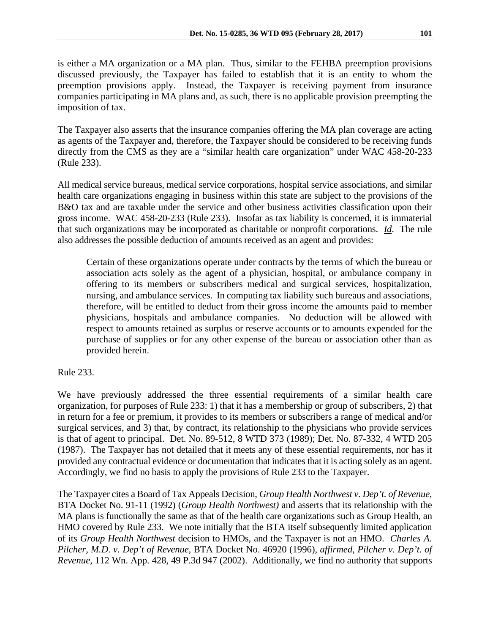is either a MA organization or a MA plan. Thus, similar to the FEHBA preemption provisions discussed previously, the Taxpayer has failed to establish that it is an entity to whom the preemption provisions apply. Instead, the Taxpayer is receiving payment from insurance companies participating in MA plans and, as such, there is no applicable provision preempting the imposition of tax.

The Taxpayer also asserts that the insurance companies offering the MA plan coverage are acting as agents of the Taxpayer and, therefore, the Taxpayer should be considered to be receiving funds directly from the CMS as they are a "similar health care organization" under WAC 458-20-233 (Rule 233).

All medical service bureaus, medical service corporations, hospital service associations, and similar health care organizations engaging in business within this state are subject to the provisions of the B&O tax and are taxable under the service and other business activities classification upon their gross income. WAC 458-20-233 (Rule 233). Insofar as tax liability is concerned, it is immaterial that such organizations may be incorporated as charitable or nonprofit corporations. *Id*. The rule also addresses the possible deduction of amounts received as an agent and provides:

Certain of these organizations operate under contracts by the terms of which the bureau or association acts solely as the agent of a physician, hospital, or ambulance company in offering to its members or subscribers medical and surgical services, hospitalization, nursing, and ambulance services. In computing tax liability such bureaus and associations, therefore, will be entitled to deduct from their gross income the amounts paid to member physicians, hospitals and ambulance companies. No deduction will be allowed with respect to amounts retained as surplus or reserve accounts or to amounts expended for the purchase of supplies or for any other expense of the bureau or association other than as provided herein.

Rule 233.

We have previously addressed the three essential requirements of a similar health care organization, for purposes of Rule 233: 1) that it has a membership or group of subscribers, 2) that in return for a fee or premium, it provides to its members or subscribers a range of medical and/or surgical services, and 3) that, by contract, its relationship to the physicians who provide services is that of agent to principal. Det. No. 89-512, 8 WTD 373 (1989); Det. No. 87-332, 4 WTD 205 (1987). The Taxpayer has not detailed that it meets any of these essential requirements, nor has it provided any contractual evidence or documentation that indicates that it is acting solely as an agent. Accordingly, we find no basis to apply the provisions of Rule 233 to the Taxpayer.

The Taxpayer cites a Board of Tax Appeals Decision, *Group Health Northwest v. Dep't. of Revenue*, BTA Docket No. 91-11 (1992) (*Group Health Northwest)* and asserts that its relationship with the MA plans is functionally the same as that of the health care organizations such as Group Health, an HMO covered by Rule 233. We note initially that the BTA itself subsequently limited application of its *Group Health Northwest* decision to HMOs, and the Taxpayer is not an HMO. *Charles A. Pilcher, M.D. v. Dep't of Revenue,* BTA Docket No. 46920 (1996), *affirmed*, *Pilcher v. Dep't. of Revenue*, 112 Wn. App. 428, 49 P.3d 947 (2002). Additionally, we find no authority that supports